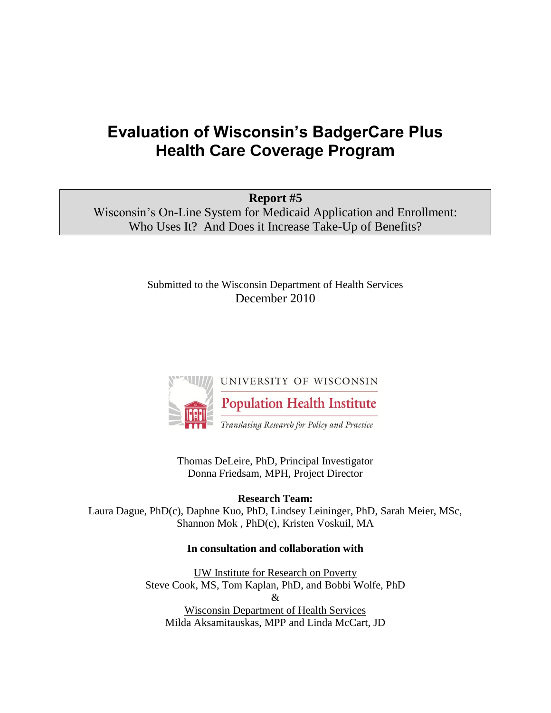# **Evaluation of Wisconsin's BadgerCare Plus Health Care Coverage Program**

**Report #5** Wisconsin's On-Line System for Medicaid Application and Enrollment: Who Uses It? And Does it Increase Take-Up of Benefits?

> Submitted to the Wisconsin Department of Health Services December 2010



Thomas DeLeire, PhD, Principal Investigator Donna Friedsam, MPH, Project Director

**Research Team:**  Laura Dague, PhD(c), Daphne Kuo, PhD, Lindsey Leininger, PhD, Sarah Meier, MSc, Shannon Mok , PhD(c), Kristen Voskuil, MA

#### **In consultation and collaboration with**

UW Institute for Research on Poverty Steve Cook, MS, Tom Kaplan, PhD, and Bobbi Wolfe, PhD & Wisconsin Department of Health Services Milda Aksamitauskas, MPP and Linda McCart, JD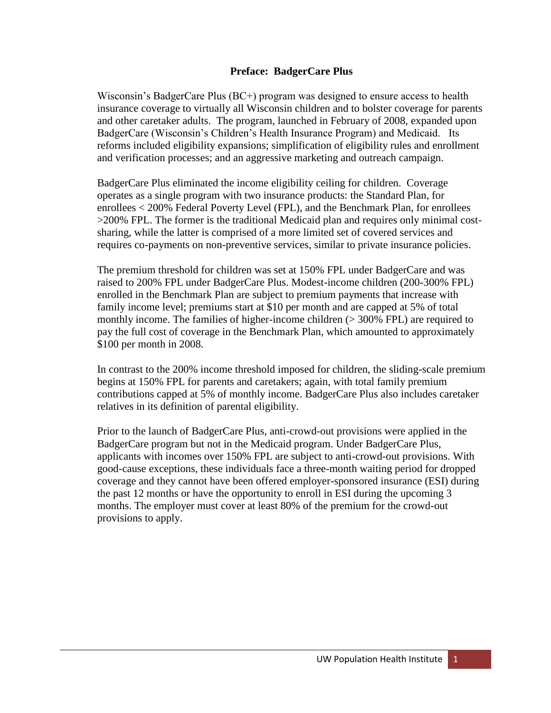#### **Preface: BadgerCare Plus**

Wisconsin's BadgerCare Plus (BC+) program was designed to ensure access to health insurance coverage to virtually all Wisconsin children and to bolster coverage for parents and other caretaker adults. The program, launched in February of 2008, expanded upon BadgerCare (Wisconsin's Children's Health Insurance Program) and Medicaid. Its reforms included eligibility expansions; simplification of eligibility rules and enrollment and verification processes; and an aggressive marketing and outreach campaign.

BadgerCare Plus eliminated the income eligibility ceiling for children. Coverage operates as a single program with two insurance products: the Standard Plan, for enrollees < 200% Federal Poverty Level (FPL), and the Benchmark Plan, for enrollees >200% FPL. The former is the traditional Medicaid plan and requires only minimal costsharing, while the latter is comprised of a more limited set of covered services and requires co-payments on non-preventive services, similar to private insurance policies.

The premium threshold for children was set at 150% FPL under BadgerCare and was raised to 200% FPL under BadgerCare Plus. Modest-income children (200-300% FPL) enrolled in the Benchmark Plan are subject to premium payments that increase with family income level; premiums start at \$10 per month and are capped at 5% of total monthly income. The families of higher-income children ( $>$  300% FPL) are required to pay the full cost of coverage in the Benchmark Plan, which amounted to approximately \$100 per month in 2008.

In contrast to the 200% income threshold imposed for children, the sliding-scale premium begins at 150% FPL for parents and caretakers; again, with total family premium contributions capped at 5% of monthly income. BadgerCare Plus also includes caretaker relatives in its definition of parental eligibility.

Prior to the launch of BadgerCare Plus, anti-crowd-out provisions were applied in the BadgerCare program but not in the Medicaid program. Under BadgerCare Plus, applicants with incomes over 150% FPL are subject to anti-crowd-out provisions. With good-cause exceptions, these individuals face a three-month waiting period for dropped coverage and they cannot have been offered employer-sponsored insurance (ESI) during the past 12 months or have the opportunity to enroll in ESI during the upcoming 3 months. The employer must cover at least 80% of the premium for the crowd-out provisions to apply.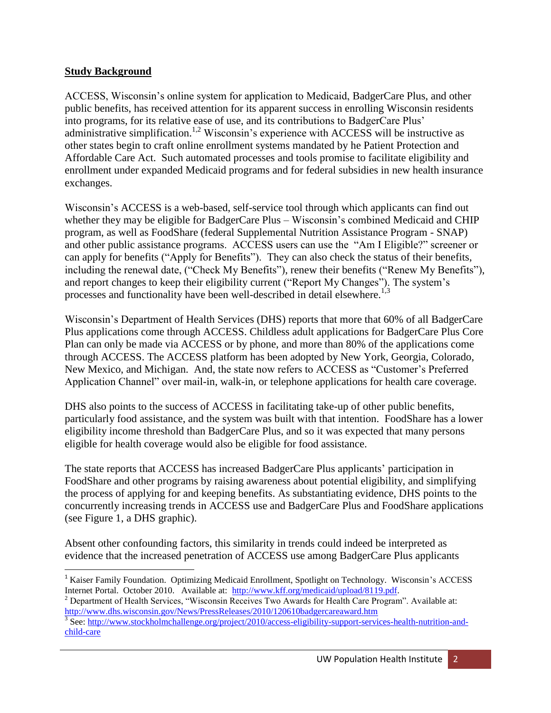#### **Study Background**

ACCESS, Wisconsin's online system for application to Medicaid, BadgerCare Plus, and other public benefits, has received attention for its apparent success in enrolling Wisconsin residents into programs, for its relative ease of use, and its contributions to BadgerCare Plus' administrative simplification.<sup>1,2</sup> Wisconsin's experience with ACCESS will be instructive as other states begin to craft online enrollment systems mandated by he Patient Protection and Affordable Care Act. Such automated processes and tools promise to facilitate eligibility and enrollment under expanded Medicaid programs and for federal subsidies in new health insurance exchanges.

Wisconsin's ACCESS is a web-based, self-service tool through which applicants can find out whether they may be eligible for BadgerCare Plus – Wisconsin's combined Medicaid and CHIP program, as well as FoodShare (federal Supplemental Nutrition Assistance Program - SNAP) and other public assistance programs. ACCESS users can use the "Am I Eligible?" screener or can apply for benefits ("Apply for Benefits"). They can also check the status of their benefits, including the renewal date, ("Check My Benefits"), renew their benefits ("Renew My Benefits"), and report changes to keep their eligibility current ("Report My Changes"). The system's processes and functionality have been well-described in detail elsewhere.<sup>1,3</sup>

Wisconsin's Department of Health Services (DHS) reports that more that 60% of all BadgerCare Plus applications come through ACCESS. Childless adult applications for BadgerCare Plus Core Plan can only be made via ACCESS or by phone, and more than 80% of the applications come through ACCESS. The ACCESS platform has been adopted by New York, Georgia, Colorado, New Mexico, and Michigan. And, the state now refers to ACCESS as "Customer's Preferred Application Channel" over mail-in, walk-in, or telephone applications for health care coverage.

DHS also points to the success of ACCESS in facilitating take-up of other public benefits, particularly food assistance, and the system was built with that intention. FoodShare has a lower eligibility income threshold than BadgerCare Plus, and so it was expected that many persons eligible for health coverage would also be eligible for food assistance.

The state reports that ACCESS has increased BadgerCare Plus applicants' participation in FoodShare and other programs by raising awareness about potential eligibility, and simplifying the process of applying for and keeping benefits. As substantiating evidence, DHS points to the concurrently increasing trends in ACCESS use and BadgerCare Plus and FoodShare applications (see Figure 1, a DHS graphic).

Absent other confounding factors, this similarity in trends could indeed be interpreted as evidence that the increased penetration of ACCESS use among BadgerCare Plus applicants

 $\overline{a}$ <sup>1</sup> Kaiser Family Foundation. Optimizing Medicaid Enrollment, Spotlight on Technology. Wisconsin's ACCESS Internet Portal. October 2010. Available at: [http://www.kff.org/medicaid/upload/8119.pdf.](http://www.kff.org/medicaid/upload/8119.pdf)

<sup>&</sup>lt;sup>2</sup> Department of Health Services, "Wisconsin Receives Two Awards for Health Care Program". Available at: <http://www.dhs.wisconsin.gov/News/PressReleases/2010/120610badgercareaward.htm>

<sup>&</sup>lt;sup>3</sup> See: [http://www.stockholmchallenge.org/project/2010/access-eligibility-support-services-health-nutrition-and](http://www.stockholmchallenge.org/project/2010/access-eligibility-support-services-health-nutrition-and-child-care)[child-care](http://www.stockholmchallenge.org/project/2010/access-eligibility-support-services-health-nutrition-and-child-care)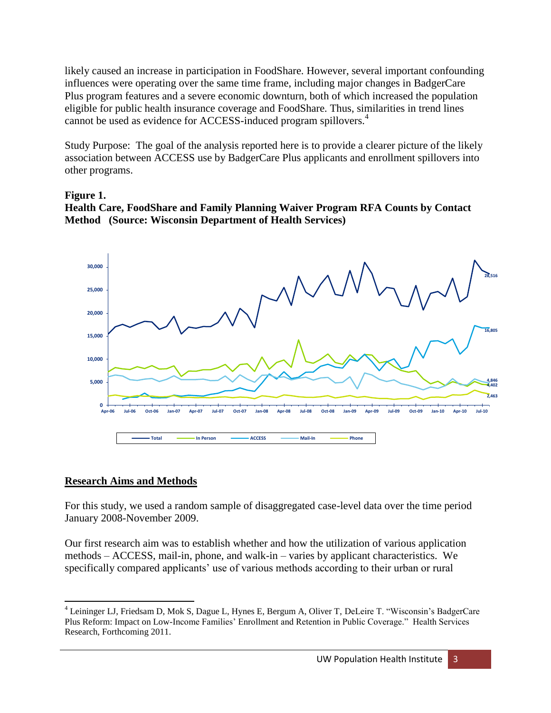likely caused an increase in participation in FoodShare. However, several important confounding influences were operating over the same time frame, including major changes in BadgerCare Plus program features and a severe economic downturn, both of which increased the population eligible for public health insurance coverage and FoodShare. Thus, similarities in trend lines cannot be used as evidence for ACCESS-induced program spillovers.<sup>4</sup>

Study Purpose: The goal of the analysis reported here is to provide a clearer picture of the likely association between ACCESS use by BadgerCare Plus applicants and enrollment spillovers into other programs.

#### **Figure 1.**





## **Research Aims and Methods**

For this study, we used a random sample of disaggregated case-level data over the time period January 2008-November 2009.

Our first research aim was to establish whether and how the utilization of various application methods – ACCESS, mail-in, phone, and walk-in – varies by applicant characteristics. We specifically compared applicants' use of various methods according to their urban or rural

 $\overline{\phantom{a}}$ <sup>4</sup> Leininger LJ, Friedsam D, Mok S, Dague L, Hynes E, Bergum A, Oliver T, DeLeire T. "Wisconsin's BadgerCare Plus Reform: Impact on Low-Income Families' Enrollment and Retention in Public Coverage." Health Services Research, Forthcoming 2011.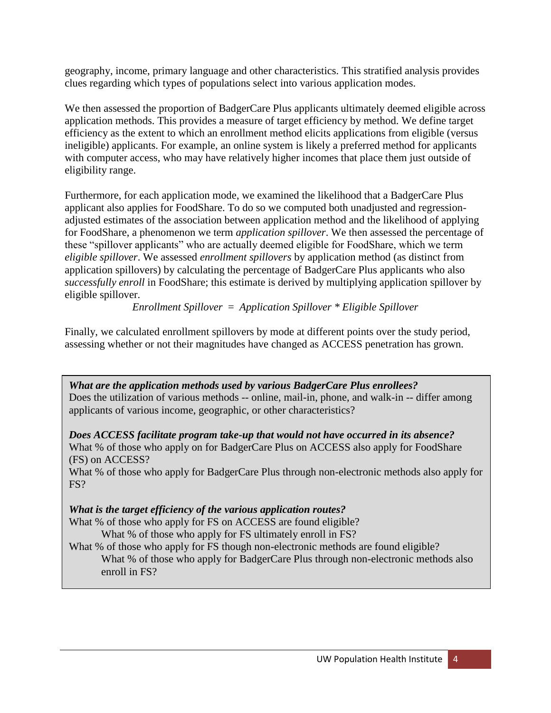geography, income, primary language and other characteristics. This stratified analysis provides clues regarding which types of populations select into various application modes.

We then assessed the proportion of BadgerCare Plus applicants ultimately deemed eligible across application methods. This provides a measure of target efficiency by method. We define target efficiency as the extent to which an enrollment method elicits applications from eligible (versus ineligible) applicants. For example, an online system is likely a preferred method for applicants with computer access, who may have relatively higher incomes that place them just outside of eligibility range.

Furthermore, for each application mode, we examined the likelihood that a BadgerCare Plus applicant also applies for FoodShare. To do so we computed both unadjusted and regressionadjusted estimates of the association between application method and the likelihood of applying for FoodShare, a phenomenon we term *application spillover*. We then assessed the percentage of these "spillover applicants" who are actually deemed eligible for FoodShare, which we term *eligible spillover*. We assessed *enrollment spillovers* by application method (as distinct from application spillovers) by calculating the percentage of BadgerCare Plus applicants who also *successfully enroll* in FoodShare; this estimate is derived by multiplying application spillover by eligible spillover.

*Enrollment Spillover* = *Application Spillover \* Eligible Spillover*

Finally, we calculated enrollment spillovers by mode at different points over the study period, assessing whether or not their magnitudes have changed as ACCESS penetration has grown.

*What are the application methods used by various BadgerCare Plus enrollees?* Does the utilization of various methods -- online, mail-in, phone, and walk-in -- differ among applicants of various income, geographic, or other characteristics?

*Does ACCESS facilitate program take-up that would not have occurred in its absence?* What % of those who apply on for BadgerCare Plus on ACCESS also apply for FoodShare (FS) on ACCESS?

What % of those who apply for BadgerCare Plus through non-electronic methods also apply for FS?

# *What is the target efficiency of the various application routes?*

What % of those who apply for FS on ACCESS are found eligible?

What % of those who apply for FS ultimately enroll in FS?

What % of those who apply for FS though non-electronic methods are found eligible? What % of those who apply for BadgerCare Plus through non-electronic methods also enroll in FS?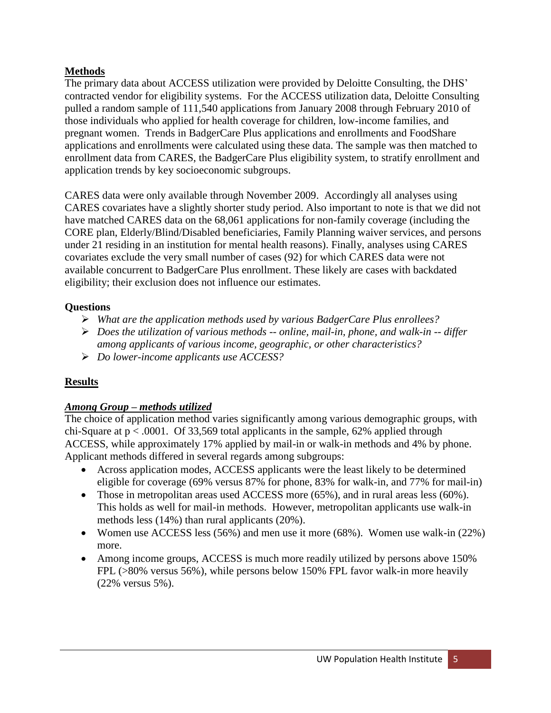## **Methods**

The primary data about ACCESS utilization were provided by Deloitte Consulting, the DHS' contracted vendor for eligibility systems. For the ACCESS utilization data, Deloitte Consulting pulled a random sample of 111,540 applications from January 2008 through February 2010 of those individuals who applied for health coverage for children, low-income families, and pregnant women. Trends in BadgerCare Plus applications and enrollments and FoodShare applications and enrollments were calculated using these data. The sample was then matched to enrollment data from CARES, the BadgerCare Plus eligibility system, to stratify enrollment and application trends by key socioeconomic subgroups.

CARES data were only available through November 2009. Accordingly all analyses using CARES covariates have a slightly shorter study period. Also important to note is that we did not have matched CARES data on the 68,061 applications for non-family coverage (including the CORE plan, Elderly/Blind/Disabled beneficiaries, Family Planning waiver services, and persons under 21 residing in an institution for mental health reasons). Finally, analyses using CARES covariates exclude the very small number of cases (92) for which CARES data were not available concurrent to BadgerCare Plus enrollment. These likely are cases with backdated eligibility; their exclusion does not influence our estimates.

## **Questions**

- *What are the application methods used by various BadgerCare Plus enrollees?*
- *Does the utilization of various methods -- online, mail-in, phone, and walk-in -- differ among applicants of various income, geographic, or other characteristics?*
- *Do lower-income applicants use ACCESS?*

## **Results**

## *Among Group – methods utilized*

The choice of application method varies significantly among various demographic groups, with chi-Square at  $p < .0001$ . Of 33,569 total applicants in the sample, 62% applied through ACCESS, while approximately 17% applied by mail-in or walk-in methods and 4% by phone. Applicant methods differed in several regards among subgroups:

- Across application modes, ACCESS applicants were the least likely to be determined eligible for coverage (69% versus 87% for phone, 83% for walk-in, and 77% for mail-in)
- Those in metropolitan areas used ACCESS more (65%), and in rural areas less (60%). This holds as well for mail-in methods. However, metropolitan applicants use walk-in methods less (14%) than rural applicants (20%).
- Women use ACCESS less (56%) and men use it more (68%). Women use walk-in (22%) more.
- Among income groups, ACCESS is much more readily utilized by persons above 150% FPL (>80% versus 56%), while persons below 150% FPL favor walk-in more heavily (22% versus 5%).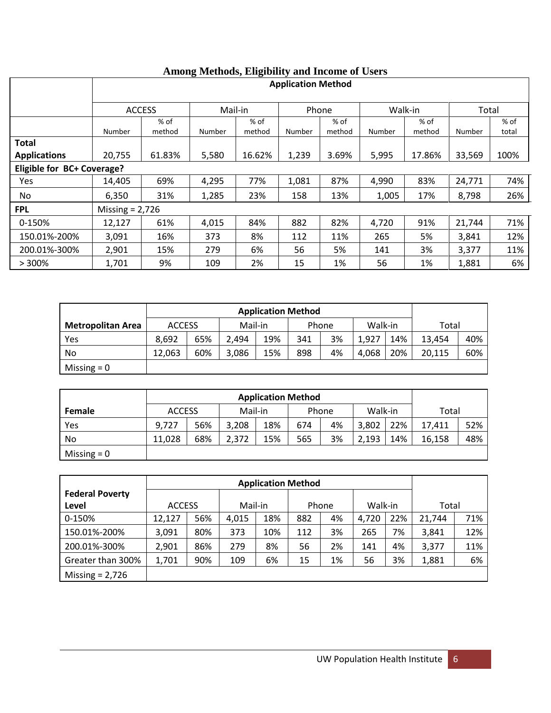|                            | <b>Engrantly</b> which income of establish-<br><b>Application Method</b> |                  |         |                  |        |                  |         |                  |        |               |
|----------------------------|--------------------------------------------------------------------------|------------------|---------|------------------|--------|------------------|---------|------------------|--------|---------------|
|                            | <b>ACCESS</b>                                                            |                  | Mail-in |                  | Phone  |                  | Walk-in |                  | Total  |               |
|                            | Number                                                                   | $%$ of<br>method | Number  | $%$ of<br>method | Number | $%$ of<br>method | Number  | $%$ of<br>method | Number | % of<br>total |
| <b>Total</b>               |                                                                          |                  |         |                  |        |                  |         |                  |        |               |
| <b>Applications</b>        | 20,755                                                                   | 61.83%           | 5,580   | 16.62%           | 1,239  | 3.69%            | 5,995   | 17.86%           | 33,569 | 100%          |
| Eligible for BC+ Coverage? |                                                                          |                  |         |                  |        |                  |         |                  |        |               |
| Yes                        | 14,405                                                                   | 69%              | 4,295   | 77%              | 1,081  | 87%              | 4,990   | 83%              | 24,771 | 74%           |
| No.                        | 6,350                                                                    | 31%              | 1,285   | 23%              | 158    | 13%              | 1,005   | 17%              | 8,798  | 26%           |
| <b>FPL</b>                 | Missing $= 2,726$                                                        |                  |         |                  |        |                  |         |                  |        |               |
| 0-150%                     | 12,127                                                                   | 61%              | 4,015   | 84%              | 882    | 82%              | 4,720   | 91%              | 21,744 | 71%           |
| 150.01%-200%               | 3,091                                                                    | 16%              | 373     | 8%               | 112    | 11%              | 265     | 5%               | 3,841  | 12%           |
| 200.01%-300%               | 2,901                                                                    | 15%              | 279     | 6%               | 56     | 5%               | 141     | 3%               | 3,377  | 11%           |
| >300%                      | 1,701                                                                    | 9%               | 109     | 2%               | 15     | 1%               | 56      | 1%               | 1,881  | 6%            |

## **Among Methods, Eligibility and Income of Users**

|                          | <b>Application Method</b> |     |         |     |       |    |         |     |        |     |
|--------------------------|---------------------------|-----|---------|-----|-------|----|---------|-----|--------|-----|
| <b>Metropolitan Area</b> | <b>ACCESS</b>             |     | Mail-in |     | Phone |    | Walk-in |     | Total  |     |
| Yes                      | 8.692                     | 65% | 2.494   | 19% | 341   | 3% | 1,927   | 14% | 13,454 | 40% |
| No                       | 12,063                    | 60% | 3,086   | 15% | 898   | 4% | 4,068   | 20% | 20,115 | 60% |
| Missing $= 0$            |                           |     |         |     |       |    |         |     |        |     |

|               | <b>Application Method</b> |     |         |     |     |       |         |     |        |     |
|---------------|---------------------------|-----|---------|-----|-----|-------|---------|-----|--------|-----|
| <b>Female</b> | <b>ACCESS</b>             |     | Mail-in |     |     | Phone | Walk-in |     | Total  |     |
| Yes           | 9,727                     | 56% | 3,208   | 18% | 674 | 4%    | 3,802   | 22% | 17.411 | 52% |
| No            | 11,028                    | 68% | 2,372   | 15% | 565 | 3%    | 2,193   | 14% | 16.158 | 48% |
| Missing $= 0$ |                           |     |         |     |     |       |         |     |        |     |

|                        | <b>Application Method</b> |     |         |     |     |       |         |     |        |     |
|------------------------|---------------------------|-----|---------|-----|-----|-------|---------|-----|--------|-----|
| <b>Federal Poverty</b> |                           |     |         |     |     |       |         |     |        |     |
| Level                  | <b>ACCESS</b>             |     | Mail-in |     |     | Phone | Walk-in |     | Total  |     |
| 0-150%                 | 12,127                    | 56% | 4,015   | 18% | 882 | 4%    | 4,720   | 22% | 21,744 | 71% |
| 150.01%-200%           | 3,091                     | 80% | 373     | 10% | 112 | 3%    | 265     | 7%  | 3,841  | 12% |
| 200.01%-300%           | 2,901                     | 86% | 279     | 8%  | 56  | 2%    | 141     | 4%  | 3,377  | 11% |
| Greater than 300%      | 1,701                     | 90% | 109     | 6%  | 15  | 1%    | 56      | 3%  | 1,881  | 6%  |
| Missing $= 2,726$      |                           |     |         |     |     |       |         |     |        |     |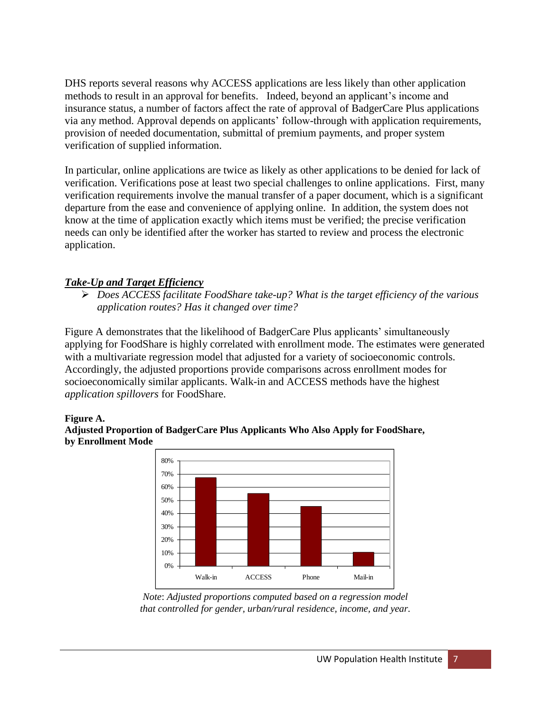DHS reports several reasons why ACCESS applications are less likely than other application methods to result in an approval for benefits. Indeed, beyond an applicant's income and insurance status, a number of factors affect the rate of approval of BadgerCare Plus applications via any method. Approval depends on applicants' follow-through with application requirements, provision of needed documentation, submittal of premium payments, and proper system verification of supplied information.

In particular, online applications are twice as likely as other applications to be denied for lack of verification. Verifications pose at least two special challenges to online applications. First, many verification requirements involve the manual transfer of a paper document, which is a significant departure from the ease and convenience of applying online. In addition, the system does not know at the time of application exactly which items must be verified; the precise verification needs can only be identified after the worker has started to review and process the electronic application.

#### *Take-Up and Target Efficiency*

 *Does ACCESS facilitate FoodShare take-up? What is the target efficiency of the various application routes? Has it changed over time?*

Figure A demonstrates that the likelihood of BadgerCare Plus applicants' simultaneously applying for FoodShare is highly correlated with enrollment mode. The estimates were generated with a multivariate regression model that adjusted for a variety of socioeconomic controls. Accordingly, the adjusted proportions provide comparisons across enrollment modes for socioeconomically similar applicants. Walk-in and ACCESS methods have the highest *application spillovers* for FoodShare.

#### **Figure A.**





*Note*: *Adjusted proportions computed based on a regression model that controlled for gender, urban/rural residence, income, and year.*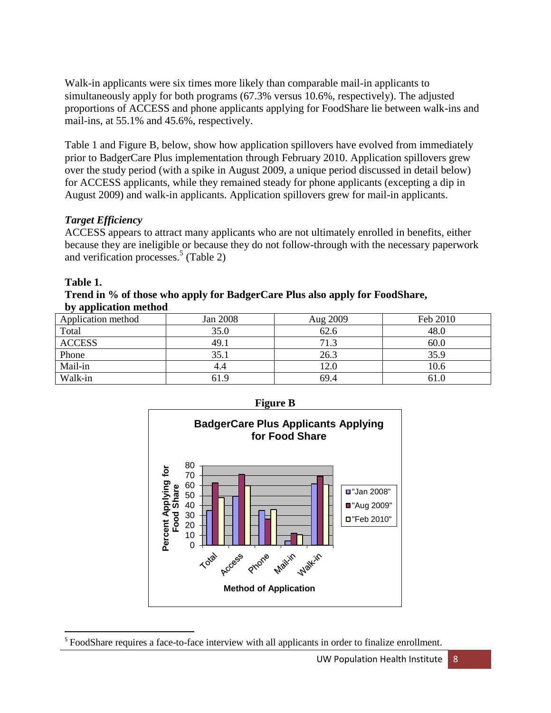Walk-in applicants were six times more likely than comparable mail-in applicants to simultaneously apply for both programs (67.3% versus 10.6%, respectively). The adjusted proportions of ACCESS and phone applicants applying for FoodShare lie between walk-ins and mail-ins, at 55.1% and 45.6%, respectively.

Table 1 and Figure B, below, show how application spillovers have evolved from immediately prior to BadgerCare Plus implementation through February 2010. Application spillovers grew over the study period (with a spike in August 2009, a unique period discussed in detail below) for ACCESS applicants, while they remained steady for phone applicants (excepting a dip in August 2009) and walk-in applicants. Application spillovers grew for mail-in applicants.

## *Target Efficiency*

ACCESS appears to attract many applicants who are not ultimately enrolled in benefits, either because they are ineligible or because they do not follow-through with the necessary paperwork and verification processes. 5 (Table 2)

## **Table 1.**

 $\overline{\phantom{a}}$ 

#### **Trend in % of those who apply for BadgerCare Plus also apply for FoodShare, by application method**

| .                  |                 |                  |          |
|--------------------|-----------------|------------------|----------|
| Application method | <b>Jan 2008</b> | Aug 2009         | Feb 2010 |
| Total              | 35.0            | 62.6             | 48.0     |
| <b>ACCESS</b>      | 49.1            | 71.3             | 60.0     |
| Phone              | 35.1            | 26.3             | 35.9     |
| Mail-in            | 4.4             | $\overline{2.0}$ | 10.6     |
| Walk-in            | 61.9            | 69.4             | 61.0     |





<sup>&</sup>lt;sup>5</sup> FoodShare requires a face-to-face interview with all applicants in order to finalize enrollment.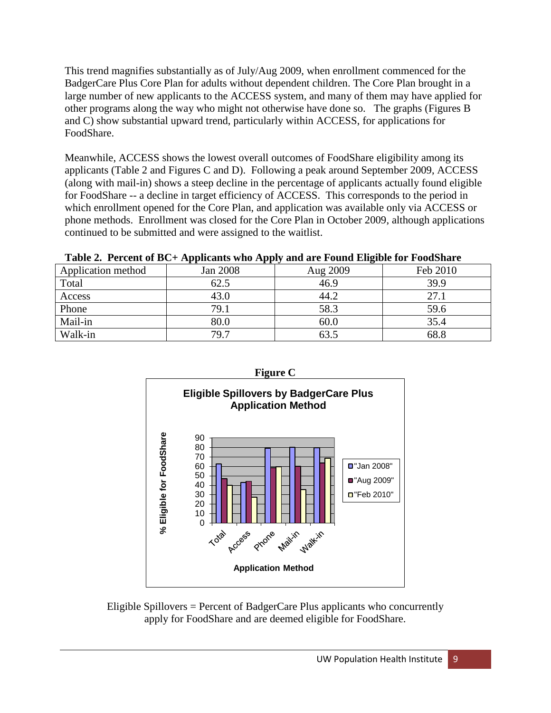This trend magnifies substantially as of July/Aug 2009, when enrollment commenced for the BadgerCare Plus Core Plan for adults without dependent children. The Core Plan brought in a large number of new applicants to the ACCESS system, and many of them may have applied for other programs along the way who might not otherwise have done so. The graphs (Figures B and C) show substantial upward trend, particularly within ACCESS, for applications for FoodShare.

Meanwhile, ACCESS shows the lowest overall outcomes of FoodShare eligibility among its applicants (Table 2 and Figures C and D). Following a peak around September 2009, ACCESS (along with mail-in) shows a steep decline in the percentage of applicants actually found eligible for FoodShare -- a decline in target efficiency of ACCESS. This corresponds to the period in which enrollment opened for the Core Plan, and application was available only via ACCESS or phone methods. Enrollment was closed for the Core Plan in October 2009, although applications continued to be submitted and were assigned to the waitlist.

|                    | Twore $\blacksquare$ . There is no complete the complex with the complete the complete $\upsilon$ |          |          |
|--------------------|---------------------------------------------------------------------------------------------------|----------|----------|
| Application method | Jan 2008                                                                                          | Aug 2009 | Feb 2010 |
| Total              | 62.5                                                                                              | 46.9     | 39.9     |
| Access             | 43.0                                                                                              | 44.2     | 27.1     |
| Phone              | 79.1                                                                                              | 58.3     | 59.6     |
| Mail-in            | 80.0                                                                                              | 60.0     | 35.4     |
| Walk-in            | 79.7                                                                                              |          | 68.8     |

**Table 2. Percent of BC+ Applicants who Apply and are Found Eligible for FoodShare**



Eligible Spillovers = Percent of BadgerCare Plus applicants who concurrently apply for FoodShare and are deemed eligible for FoodShare.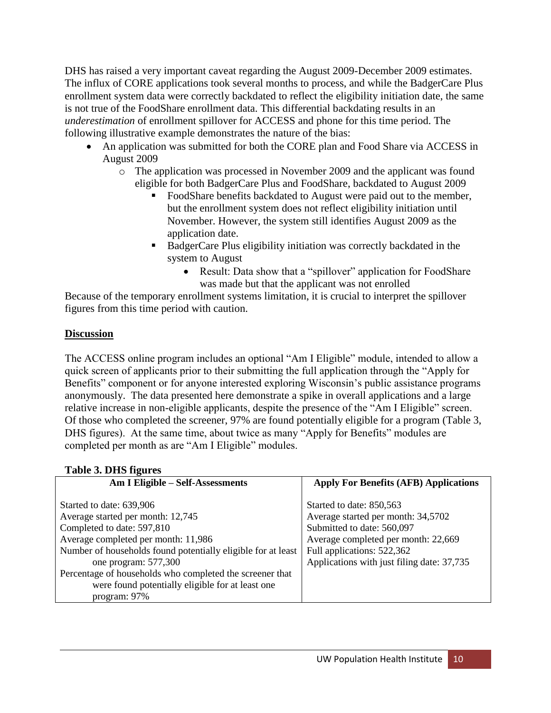DHS has raised a very important caveat regarding the August 2009-December 2009 estimates. The influx of CORE applications took several months to process, and while the BadgerCare Plus enrollment system data were correctly backdated to reflect the eligibility initiation date, the same is not true of the FoodShare enrollment data. This differential backdating results in an *underestimation* of enrollment spillover for ACCESS and phone for this time period. The following illustrative example demonstrates the nature of the bias:

- An application was submitted for both the CORE plan and Food Share via ACCESS in August 2009
	- o The application was processed in November 2009 and the applicant was found eligible for both BadgerCare Plus and FoodShare, backdated to August 2009
		- FoodShare benefits backdated to August were paid out to the member, but the enrollment system does not reflect eligibility initiation until November. However, the system still identifies August 2009 as the application date.
		- BadgerCare Plus eligibility initiation was correctly backdated in the system to August
			- Result: Data show that a "spillover" application for FoodShare was made but that the applicant was not enrolled

Because of the temporary enrollment systems limitation, it is crucial to interpret the spillover figures from this time period with caution.

## **Discussion**

The ACCESS online program includes an optional "Am I Eligible" module, intended to allow a quick screen of applicants prior to their submitting the full application through the "Apply for Benefits" component or for anyone interested exploring Wisconsin's public assistance programs anonymously. The data presented here demonstrate a spike in overall applications and a large relative increase in non-eligible applicants, despite the presence of the "Am I Eligible" screen. Of those who completed the screener, 97% are found potentially eligible for a program (Table 3, DHS figures). At the same time, about twice as many "Apply for Benefits" modules are completed per month as are "Am I Eligible" modules.

| o<br>Am I Eligible - Self-Assessments                                                                                                                                                                                                                                                                                                      | <b>Apply For Benefits (AFB) Applications</b>                                                                                                                                                                    |
|--------------------------------------------------------------------------------------------------------------------------------------------------------------------------------------------------------------------------------------------------------------------------------------------------------------------------------------------|-----------------------------------------------------------------------------------------------------------------------------------------------------------------------------------------------------------------|
| Started to date: 639,906<br>Average started per month: 12,745<br>Completed to date: 597,810<br>Average completed per month: 11,986<br>Number of households found potentially eligible for at least<br>one program: 577,300<br>Percentage of households who completed the screener that<br>were found potentially eligible for at least one | Started to date: 850,563<br>Average started per month: 34,5702<br>Submitted to date: 560,097<br>Average completed per month: 22,669<br>Full applications: 522,362<br>Applications with just filing date: 37,735 |
| program: 97%                                                                                                                                                                                                                                                                                                                               |                                                                                                                                                                                                                 |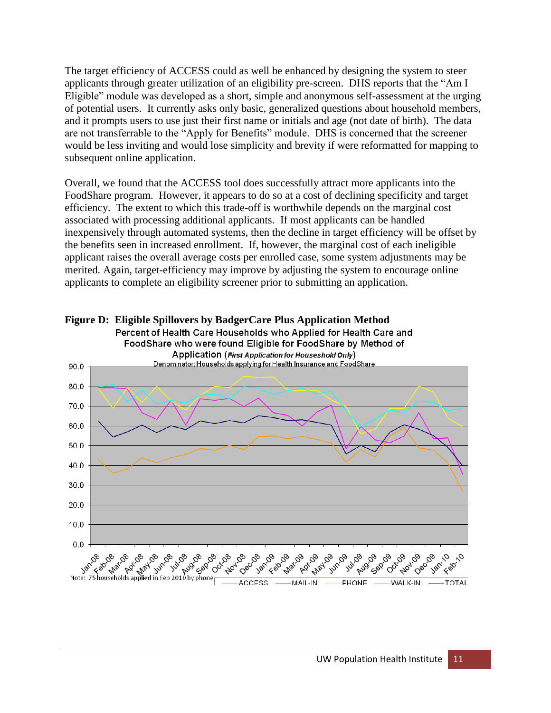The target efficiency of ACCESS could as well be enhanced by designing the system to steer applicants through greater utilization of an eligibility pre-screen. DHS reports that the "Am I Eligible" module was developed as a short, simple and anonymous self-assessment at the urging of potential users. It currently asks only basic, generalized questions about household members, and it prompts users to use just their first name or initials and age (not date of birth). The data are not transferrable to the "Apply for Benefits" module. DHS is concerned that the screener would be less inviting and would lose simplicity and brevity if were reformatted for mapping to subsequent online application.

Overall, we found that the ACCESS tool does successfully attract more applicants into the FoodShare program. However, it appears to do so at a cost of declining specificity and target efficiency. The extent to which this trade-off is worthwhile depends on the marginal cost associated with processing additional applicants. If most applicants can be handled inexpensively through automated systems, then the decline in target efficiency will be offset by the benefits seen in increased enrollment. If, however, the marginal cost of each ineligible applicant raises the overall average costs per enrolled case, some system adjustments may be merited. Again, target-efficiency may improve by adjusting the system to encourage online applicants to complete an eligibility screener prior to submitting an application.



**Figure D: Eligible Spillovers by BadgerCare Plus Application Method**